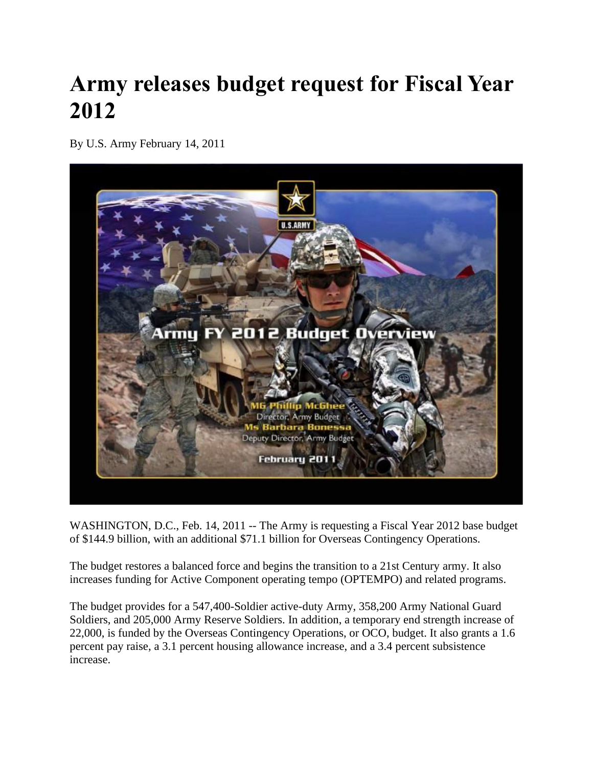## **Army releases budget request for Fiscal Year 2012**

By U.S. Army February 14, 2011



WASHINGTON, D.C., Feb. 14, 2011 -- The Army is requesting a Fiscal Year 2012 base budget of \$144.9 billion, with an additional \$71.1 billion for Overseas Contingency Operations.

The budget restores a balanced force and begins the transition to a 21st Century army. It also increases funding for Active Component operating tempo (OPTEMPO) and related programs.

The budget provides for a 547,400-Soldier active-duty Army, 358,200 Army National Guard Soldiers, and 205,000 Army Reserve Soldiers. In addition, a temporary end strength increase of 22,000, is funded by the Overseas Contingency Operations, or OCO, budget. It also grants a 1.6 percent pay raise, a 3.1 percent housing allowance increase, and a 3.4 percent subsistence increase.